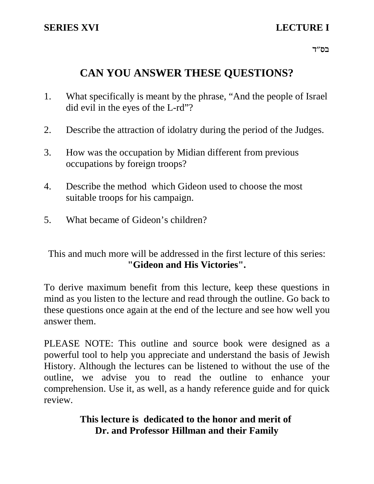בס"ד $\,$ 

# **CAN YOU ANSWER THESE QUESTIONS?**

- 1. What specifically is meant by the phrase, "And the people of Israel did evil in the eyes of the L-rd"?
- 2. Describe the attraction of idolatry during the period of the Judges.
- 3. How was the occupation by Midian different from previous occupations by foreign troops?
- 4. Describe the method which Gideon used to choose the most suitable troops for his campaign.
- 5. What became of Gideon's children?

This and much more will be addressed in the first lecture of this series: **"Gideon and His Victories".**

To derive maximum benefit from this lecture, keep these questions in mind as you listen to the lecture and read through the outline. Go back to these questions once again at the end of the lecture and see how well you answer them.

PLEASE NOTE: This outline and source book were designed as a powerful tool to help you appreciate and understand the basis of Jewish History. Although the lectures can be listened to without the use of the outline, we advise you to read the outline to enhance your comprehension. Use it, as well, as a handy reference guide and for quick review.

## **This lecture is dedicated to the honor and merit of Dr. and Professor Hillman and their Family**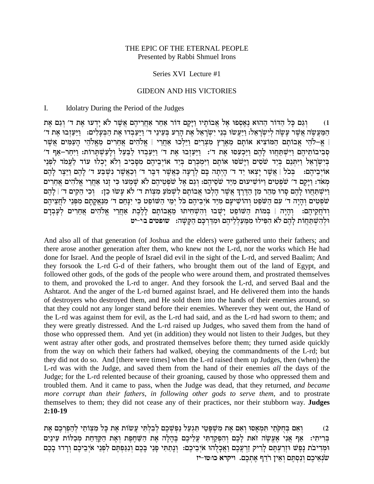### THE EPIC OF THE ETERNAL PEOPLE Presented by Rabbi Shmuel Irons

### Series XVI Lecture #1

### **GIDEON AND HIS VICTORIES**

#### $\mathbf{I}$ . Idolatry During the Period of the Judges

וְגַם כַּל הַדּוֹר הַהוּא נֵאֲסְפוּ אֵל אֲבוֹתַיו וַיַּקַם דּוֹר אַחֲר אַחֲרֵיהֶם אֲשֶׁר לֹא יַדְעוּ אֶת ד׳ וְגַם אֶת  $(1)$ הַמַּעֲשֶׂה אֲשֶׁר עָשָׂה לִיְשְׂרָאֵל: וַיַּעֲשׁוּ בְנֵי יִשְׂרָאֵל אֶת הַרַע בְּעֵינֵי ד' וַיַּעֲבְדוּ אֶת הַבְּעָלִים: [יַעַזְבוּ אֶת ד' | אֵ–לֹהֵי אֲבוֹתַם הַמֹּוֹצִיא אוֹתַם מֵאֶרֶץ מִצְרַיִם וַיֵּלְכוּ אָחֲרֵי | אֱלֹהִים אֲחֶרִים מֵאֱלֹהֵי הַעַּמִּים אֲשֶׁר סְבִיבוֹתִיהָם וַיִּשְׁתַּחָווּ לָהֶם וַיַּכְעָסוּ אֶת ד׳: וַיַּעֲזָבוּ אֶת ד׳ וַיַּעֲבִדוּ לַבְּעֲל וְלַעֲשָׁתְרוֹת: וַיִּחֲר–אַף ד׳ בישראל ויתנם ביד שסים וישסו אותם וימכרם ביד אויביהם מסביב ולא יכלו עוד לעמד לפני אויכיהם: "בְּכֹל | אֵשֶׁר יַצְאוּ יַד ד' הַיִּתָה בָּם לְרַעָּה כָּאֲשֶׁר דְּבֶּר ד' וְכָאֲשֶׂר נִשְׁבַּע ד' לַהֵם וַיֵּצֶר לַהֵם מאד: ויקם ד׳ שפטים ויושיעום מיד שסיהם: וגם אל שפטיהם לא שמעו כי זנו אחרי אלהים אחרים וַיִּשְׁתַּחֲוֹוּ לַהֶם סַרוּ מַהֶר מִן הַדֶּרֶךְ אֲשֶׁר הַלְכוּ אֲבוֹתַם לְשָׁמֹעָ מִצְוֹת ד׳ לֹא עַשוּ כֵן: וְכִי הֵקִים ד׳ | לַהֶם .<br>שפטים והיה ד' עם השפט והושיעם מיד איביהם כל ימי השופט כי ינחם ד' מנאקתם מפני לחציהם וִדֹחֲקֵיהֵם: וְהָיָה | בִּמוֹת הַשּׁוֹפֵט יָשָׁבוּ וְהִשְׁחִיתוּ מֵאֲבוֹתָם לָלֵכֵת אַחֲרִי אֱלֹהִים אֲחֵרִים לְעָבִדָם ולהשתחות להם לא הפילו ממעלליהם ומדרכם הקשה: שופטים בי-יט

And also all of that generation (of Joshua and the elders) were gathered unto their fathers; and there arose another generation after them, who knew not the L-rd, nor the works which He had done for Israel. And the people of Israel did evil in the sight of the L-rd, and served Baalim; And they forsook the L-rd G-d of their fathers, who brought them out of the land of Egypt, and followed other gods, of the gods of the people who were around them, and prostrated themselves to them, and provoked the L-rd to anger. And they forsook the L-rd, and served Baal and the Ashtarot. And the anger of the L-rd burned against Israel, and He delivered them into the hands of destroyers who destroyed them, and He sold them into the hands of their enemies around, so that they could not any longer stand before their enemies. Wherever they went out, the Hand of the L-rd was against them for evil, as the L-rd had said, and as the L-rd had sworn to them; and they were greatly distressed. And the L-rd raised up Judges, who saved them from the hand of those who oppressed them. And yet (in addition) they would not listen to their Judges, but they went astray after other gods, and prostrated themselves before them; they turned aside quickly from the way on which their fathers had walked, obeying the commandments of the L-rd; but they did not do so. And [there were times] when the L-rd raised them up Judges, then (when) the L-rd was with the Judge, and saved them from the hand of their enemies all the days of the Judge; for the L-rd relented because of their groaning, caused by those who oppressed them and troubled them. And it came to pass, when the Judge was dead, that they returned, and became more corrupt than their fathers, in following other gods to serve them, and to prostrate themselves to them; they did not cease any of their practices, nor their stubborn way. Judges  $2:10-19$ 

וְאִם בְּחֻקֹּתַי תִּמְאָסוּ וְאִם אֵת מְשִׁפָּטַי תִּגְעַל נַפְשִׁכֵם לְבְלְתִּי עֲשׂוֹת אֵת כָּל מִצְוֹתַי לְהַפִּרְכֵם אֵת  $(2)$ בְּרִיתִי: אֵף אֲנִי אֶעֱשֶׂה זֹאת לַכֶם וְהִפְקַדְתִּי עֲלֵיכֶם בֵּהָלָה אֶת הַשָּׁחֶפֶת וְאֶת הַקַּדְּחַת מִכְלוֹת עֵינַיִם וּמִדִיבֹת נָפֶשׁ וּזְרַעְתֶם לָרִיק זַרְעֲכֶם וַאֲכָלָהוּ אֹיְבֵיכֶם: וְנָתַתִּי פְנַי בְּכֶם וְנִגַפְתֶּם לִפְנֵי אֹיְבֵיכֶם וְדָדוּ בָכֶם שנאיכם ונסתם ואין רדף אתכם. ויקרא כו:טו-יז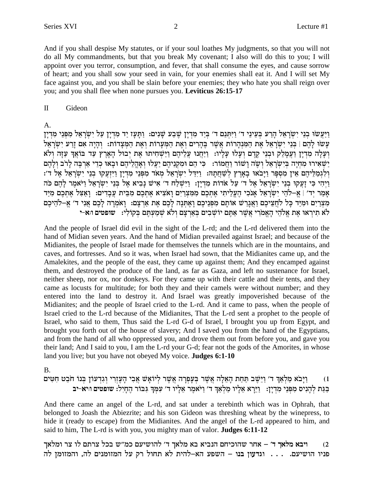And if you shall despise My statutes, or if your soul loathes My judgments, so that you will not do all My commandments, but that you break My covenant; I also will do this to you; I will appoint over you terror, consumption, and fever, that shall consume the eyes, and cause sorrow of heart; and you shall sow your seed in vain, for your enemies shall eat it. And I will set My face against you, and you shall be slain before your enemies; they who hate you shall reign over you; and you shall flee when none pursues you. Leviticus 26:15-17

 $\Pi$ Gideon

### A.

וַיַּעֲשׂוּ בְנֵי יִשְׂרָאֵל הָרַע בְּעֵינֵי ד׳ וַיִּתְּנֵם ד׳ בְּיַד מֶדְיַן שֶׁבַע שַׁנִים: וַתַּעַז יַד מִדְיַן עַל יִשְׂרָאֵל מִפְּנֵי מִדְיַן עָשׂוּ לַהֵם | בְּנֵי יִשְׂרָאֵל אֶת הַמְּנְהָרוֹת אֲשֶׁר בֵּהָרִים וְאֵת הַמְּעָרוֹת וְאֶת הַמְּצָדוֹת: וְהָיָה אִם זַרַע יִשְׂרָאֵל וְעָלָה מִדְיָן וַעֲמָלֵק וּבְנֵי קֶדֶם וְעָלוּ עָלְיוּ: וַיַּחֲנוּ עֲלֵיהֶם וַיַּשְׁחִיתוּ אֶת יְבוּל הָאָרֶץ עַד בּוֹאֲךָ עַזָה וְלֹא יַשְׁאִירוּ מִחְיָה בְּיִשְׂרָאֵל וְשֶׂה וָשׁוֹר וַחֲמוֹר: "כִּי הֵם וּמִקְנֵיהֶם יַעֲלוּ וְאָהֲלֵיהֶם וּבָאוּ כִדֵי אַרְבֶּה לָרֹב וְלֵהֵם וְלְגִמַלֵּיהֶם אֵין מִסְפָּר וַיָּבֹאוּ בָאָרֵץ לְשַׁחֲתָה: וַיִּדַל יִשְׂרָאֵל מִאֹד מִפְּנֵי מִדְיָן וַיִּזְעֲקוּ בְנֵי יִשְׂרָאֵל אֶל ד׳: וַיְהִי כִּי זַעֲקוּ בְנֵי יִשְׂרָאֵל אֵל ד' עַל אדות מִדְיַזְ: וַיִּשְׁלַח ד' אִישׁ נַבִיא אַל בְּנֵי יִשְׂרָאֵל וַיֹּאמַר לָהֶם כֹּה אָמַר יִד׳ | אֶ–לֹהֵי יִשְׂרָאֵל אֲנְכִי הֶעֲלֵיתִי אֶתְכֶם מִמְּצָרַיִם וַאֹצִיא אֶתְכֶם מְבֵּית עֲבָדִים: וַאָצִל אֶתְכֶם מְיַד מצרים ומיד כל לחציכם ואגרש אותם מפניכם ואתנה לכם את ארצם: ואמרה לכם אני ד׳ א-להיכם לא תיראו את אלהי האמרי אשר אתם יושבים בארצם ולא שמעתם בקולי: עופטים ו:א-י

And the people of Israel did evil in the sight of the L-rd; and the L-rd delivered them into the hand of Midian seven years. And the hand of Midian prevailed against Israel; and because of the Midianites, the people of Israel made for themselves the tunnels which are in the mountains, and caves, and fortresses. And so it was, when Israel had sown, that the Midianites came up, and the Amalekites, and the people of the east, they came up against them; And they encamped against them, and destroyed the produce of the land, as far as Gaza, and left no sustenance for Israel, neither sheep, nor ox, nor donkeys. For they came up with their cattle and their tents, and they came as locusts for multitude; for both they and their camels were without number; and they entered into the land to destroy it. And Israel was greatly impoverished because of the Midianites; and the people of Israel cried to the L-rd. And it came to pass, when the people of Israel cried to the L-rd because of the Midianites, That the L-rd sent a prophet to the people of Israel, who said to them, Thus said the L-rd G-d of Israel, I brought you up from Egypt, and brought you forth out of the house of slavery; And I saved you from the hand of the Egyptians, and from the hand of all who oppressed you, and drove them out from before you, and gave you their land; And I said to you, I am the L-rd your G-d; fear not the gods of the Amorites, in whose land you live; but you have not obeyed My voice. Judges 6:1-10

**B.** 

וַיַּבֹא מַלְאַךְ ד׳ וַיֵּשֵׁב תַּחַת הָאֶלָה אֲשֵׁר בְּעַפְרָה אֲשֵׁר לְיוֹאָשׁ אֲבִי הָעֶזְרִי וְגִדְעוֹן בְּנוֹ חֹבֵט חָטִים  $(1)$ בַּגַּת לְהָנִים מִפְּנֵי מִדְיָן: [יֵרֵא אֵלְיו מַלְאַךְ ד' וַיֹּאמֶר אֵלְיו ד' עִמְךְ גִּבּוֹר הֶחָיִל: שופטים וויא-יב

And there came an angel of the L-rd, and sat under a terebinth which was in Ophrah, that belonged to Joash the Abiezrite; and his son Gideon was threshing wheat by the winepress, to hide it (ready to escape) from the Midianites. And the angel of the L-rd appeared to him, and said to him, The L-rd is with you, you mighty man of valor. Judges 6:11-12

ויבא מלאך ד׳ – אחר שהוכיחם הנביא בא מלאך ד׳ להושיעם כמ״ש בכל צרתם לו צר ומלאך  $(2)$ פניו הושיעם. . . . . וגדעון בנו – השפע הא–להית לא תחול רק על המזומנים לה, והמזומן לה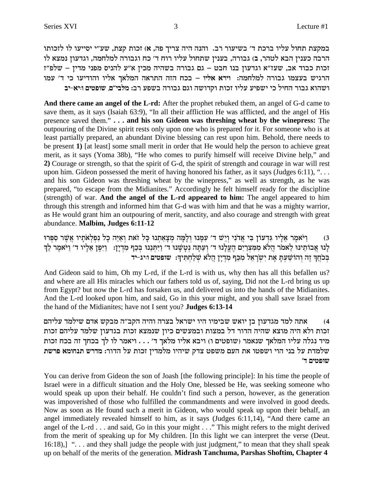במקצת תחול עליו ברכת ד' בשיעור רב. והנה היה צריך פה, א) זכות קצת, שע"י יסייעו לו לזכותו הרבה כענין הבא לטהר, ב) גבורה, בענין שתחול עליו רוח ד׳ כח וגבורה למלחמה, וגדעון נמצא לו זכות כבוד אב, שעז"א וגדעון בנו חבט – גם גבורה בשהיה מכין א"ע להניס מפני מדין – שלפ"ז הרגיש בעצמו גבורה למלחמה: וירא אליו – בכח הזה התראה המלאך אליו והודיעו כי ד׳ עמו ושהוא גבור החיל כי ישפיע עליו זכות וקדושה וגם גבורה בשפע רב: מלבי״ם, שופטים ו:יא-יב

And there came an angel of the L-rd: After the prophet rebuked them, an angel of G-d came to save them, as it says (Isaiah 63:9), "In all their affliction He was afflicted, and the angel of His presence saved them." . . . and his son Gideon was threshing wheat by the winepress: The outpouring of the Divine spirit rests only upon one who is prepared for it. For someone who is at least partially prepared, an abundant Divine blessing can rest upon him. Behold, there needs to be present 1) [at least] some small merit in order that He would help the person to achieve great merit, as it says (Yoma 38b), "He who comes to purify himself will receive Divine help," and 2) Courage or strength, so that the spirit of G-d, the spirit of strength and courage in war will rest upon him. Gideon possessed the merit of having honored his father, as it says (Judges  $6:11$ ), "... and his son Gideon was threshing wheat by the winepress," as well as strength, as he was prepared, "to escape from the Midianites." Accordingly he felt himself ready for the discipline (strength) of war. And the angel of the L-rd appeared to him: The angel appeared to him through this strength and informed him that G-d was with him and that he was a mighty warrior, as He would grant him an outpouring of merit, sanctity, and also courage and strength with great abundance. Malbim, Judges 6:11-12

וַיֹּאמֶר אֲלֵיו גִּדְעוֹן בִּי אֲדֹנִי וְיֵשׁ ד' עִמֲנוּ וְלָמָּה מִצָאַתְנוּ כָּל זֹאת וְאַיֵּה כָל נִפְלְאֹתָיו אֲשֶׁר סִפְּרוּ  $(3)$ לְנוּ אֲבוֹתֵינוּ לֵאמֹר הֲלֹא מִמִצְרַיִם הֶעֱלְנוּ ד׳ וְעַתָּה נְטָשָׁנוּ ד׳ וַיִּתְּנֵנוּ בְּכַף מִדְיָן: [יִיפֶן אֵלְיו ד׳ וַיֹּאמֶר לֵךְ בְּכֹחֲךְ זֶה וְהוֹשָׁעָתַ אֶת יְשָׂרָאֵל מִכָּף מִדְיַן הֲלֹא שִׁלַחְתִּיךְ: שופטים וּיג-יד

And Gideon said to him, Oh my L-rd, if the L-rd is with us, why then has all this befallen us? and where are all His miracles which our fathers told us of, saying, Did not the L-rd bring us up from Egypt? but now the L-rd has forsaken us, and delivered us into the hands of the Midianites. And the L-rd looked upon him, and said, Go in this your might, and you shall save Israel from the hand of the Midianites; have not I sent you? Judges 6:13-14

אתה למד מגדעון בן יואש שבימיו היו ישראל בצרה והיה הקב"ה מבקש אדם שילמד עליהם  $(4)$ זכות ולא היה מוצא שהיה הדור דל במצות ובמעשים כיון שנמצא זכות בגדעון שלמד עליהם זכות מיד נגלה עליו המלאך שנאמר (שופטים ו) ויבא אליו מלאך ד׳ . . . ויאמר לו לך בכחך זה בכח זכות שלמדת על בני הוי ושפטו את העם משפט צדק שיהיו מלמדין זכות על הדור: מדרש תנחומא פרשת שופטים ד'

You can derive from Gideon the son of Joash [the following principle]: In his time the people of Israel were in a difficult situation and the Holy One, blessed be He, was seeking someone who would speak up upon their behalf. He couldn't find such a person, however, as the generation was impoverished of those who fulfilled the commandments and were involved in good deeds. Now as soon as He found such a merit in Gideon, who would speak up upon their behalf, an angel immediately revealed himself to him, as it says (Judges 6:11,14), "And there came an angel of the L-rd . . . and said, Go in this your might . . ." This might refers to the might derived from the merit of speaking up for My children. [In this light we can interpret the verse (Deut. up on behalf of the merits of the generation. Midrash Tanchuma, Parshas Shoftim, Chapter 4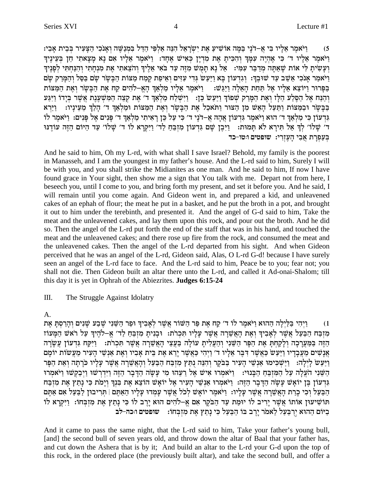וַיֹּאמֵר אֲלָיו בִּי אֲ–דֹנַי בַּמַּה אוֹשִׁיעַ אֵת יְשְׂרָאֵל הְנֵה אַלְפִּי הַדָּל בִּמְנַשֵּׁה וְאַנֹכִי הַצַּעִיר בִּבֵית אָבְי:  $(5)$ וַיֹּאמֶר אֲלֵיו ד' כִּי אֲהָיֶה עִמַּךְ וְהִכִּיתַ אֶת מְדָיַן כְּאִישׁ אֲחָד: וַיֹּאמֵר אֵלֵיו אִם נַא מַצַאתִי חֵן בִּעֵינֵיךְ ועשית לי אות שאתה מדבר עמי: אל נא תמש מזה עד באי אליך והצאתי את מנחתי והנחתי לפניך וַיֹּאמַר אַנֹכִי אֵשֵׁב עַד שׁוּבֵךּ: וְגִדְעוֹן בַּא וַיַּעֲשׂ גִּדִי עִזִּים וְאֵיפָת קֵמַח מַצּוֹת הַבָּשַׂר שַׂם בַּסַּל וְהַמַּרַק שַׂם בפרור ויוצא אליו אל תחת האלה ויגש: ניאמר אליו מלאך הא-להים קח את הבשר ואת המצות וְהַנַּח אֵל הַסֵּלֵע הַלָּז וְאֵת הַמַּרַק שִׁפוֹךְ וַיַּעֲשׂ כֵּן: - וַיִּשְׁלַח מַלְאַךְ ד׳ אֵת קִצֶה הַמִּשְׁעֲנֵת אֲשֶׁר בְּיַדוֹ וַיִּגַּע בַּבָּשָׁר וּבַמַּצוֹת וַתַּעַל הָאֵשׁ מִן הַצּוּר וַתֹּאכִל אֶת הַבָּשָׂר וְאֶת הַמַּצוֹת וּמַלְאַךְ ד׳ הָלַךְ מֵעֵינְיוּ: [יַיִּךְא גִּדְעוֹן כִּי מַלְאַךְ ד׳ הוּא וַיֹּאמֵר גִּדְעוֹן אֲהָה אַ–דנַי ד׳ כִּי עַל כֵן רַאִיתִי מַלְאַךְ ד׳ פַּנִים אַל פַּנִים: וַיֹּאמַר לו ד׳ שָלוֹ׳ לְךָ אֵל תִּירָא לֹא תְּמוּת: [יִכְן שָׁם גִּדְעוֹן מִזְבֵּחַ לַד׳ וַיִּקְרָא לוֹ ד׳ שָלוֹ׳ עַד הַיּוֹם הַזֶּה עוֹדֶנּוּ בעפרת אבי העזרי: שופטים ו:טו-כד

And he said to him, Oh my L-rd, with what shall I save Israel? Behold, my family is the poorest in Manasseh, and I am the youngest in my father's house. And the L-rd said to him, Surely I will be with you, and you shall strike the Midianites as one man. And he said to him, If now I have found grace in Your sight, then show me a sign that You talk with me. Depart not from here, I beseech you, until I come to you, and bring forth my present, and set it before you. And he said, I will remain until you come again. And Gideon went in, and prepared a kid, and unleavened cakes of an ephah of flour; the meat he put in a basket, and he put the broth in a pot, and brought it out to him under the terebinth, and presented it. And the angel of G-d said to him, Take the meat and the unleavened cakes, and lay them upon this rock, and pour out the broth. And he did so. Then the angel of the L-rd put forth the end of the staff that was in his hand, and touched the meat and the unleavened cakes; and there rose up fire from the rock, and consumed the meat and the unleavened cakes. Then the angel of the L-rd departed from his sight. And when Gideon perceived that he was an angel of the L-rd, Gideon said, Alas, O L-rd G-d! because I have surely seen an angel of the L-rd face to face. And the L-rd said to him, Peace be to you; fear not; you shall not die. Then Gideon built an altar there unto the L-rd, and called it Ad-onai-Shalom; till this day it is yet in Ophrah of the Abiezrites. Judges 6:15-24

#### Ш. The Struggle Against Idolatry

### $A_{\cdot}$

וַיְהִי בַּלַיְלַה הָהוּא וַיֹּאמֵר לוֹ ד׳ קַח אֵת פַּר הָשׁוֹר אֲשֶׁר לְאֲבִיךְ וּפַר הַשֵּׁנִי שֵׁבַע שַׁנִים וְהַרַסְתַּ אֵת  $(1)$ מזבח הבעל אשר לאביד ואת האשרה אשר עליו תכרת: ובנית מזבח לד׳ א-להיד על ראש המעוז הַזֶּה בַּמַּעֲרָכָה וְלַקֲחָתָּ אֶת הַפָּר הַשָּׁנִי וְהַעֲלִיתַ עוֹלָה בַעֲצֵי הָאֲשֶׁרָה אֲשֶׁר תִּכְרֹת: - וַיִּקַח גִּדְעוֹן עֲשֶׂרָה אַנְשִׁים מֵעֲבַדִיו וַיַּעֲשׂ כַּאֲשֶׁר דִּבֵּר אָלְיו ד' וַיִּהִי כַּאֲשֶׁר יַרָא אֶת בֵּית אַבִיו וְאֶת אַנְשֵׁי הַעִּיר מֵעֲשׂוֹת יוֹמֵם וַיַּעֲשׂ לַיִלְה: וַיַּשְׁכִּימוּ אֲנָשֵׁי הַעִּיר בַּבֹּקֶר וְהִנֶּה נִתַּץ מִזְבַּח הַבַּעֲל וְהָאֲשֶׁרָה אֲשֶׁר עַלְיו כֹּרַתַּה וְאֶת הַפִּר הַשֶּׁנִי הֹעֲלָה עַל הַמְזְבֵּחַ הַבָּנוּי: [יֹאמְרוּ אִישׁ אֵל רֵעֲהוּ מִי עָשָׂה הַדָּבָר הַזֶּה וַיִּדְרְשׁוּ וַיִּבְקְשׁוּ וַיֹּאמְרוּ גִּדְעוֹן כֵּן יוֹאֵשׁ עַשָׂה הַדְּבָר הַזֶּה: וַיֹּאמִרוּ אֲנְשֵׁי הַעִּיר אֵל יוֹאַשׁ הוֹצֵא אֶת כִּנְךָ וְיַמֹת כִּי נַתַץ אֶת מִזְכָּח הַבַּעֲל וְכִי כַרַת הַאֲשֶׁרָה אֲשֶׁר עֲלֵיו: וַיֹּאמַר יוֹאַשׁ לְכֹל אֲשֶׁר עֲמָדוּ עֲלָיו הַאַתֵּם | תִּרִיבוּן לְבַעֲל אִם אַתִּם תושיעון אותו אֲשֶׁר יָרִיב לו יומַת עַד הַבֹּקֶר אִם אֱ-לֹהִים הוֹא יָרֶב לוֹ כִּי נְתַץ אֶת מִזְבְחוֹ: וַיִּקְרָא לוֹ ביום ההוא ירבעל לאמר ירב בו הבעל כי נתץ את מזבחו: - שופטים ו כה-לב

And it came to pass the same night, that the L-rd said to him, Take your father's young bull, [and] the second bull of seven years old, and throw down the altar of Baal that your father has, and cut down the Ashera that is by it; And build an altar to the L-rd your G-d upon the top of this rock, in the ordered place (the previously built altar), and take the second bull, and offer a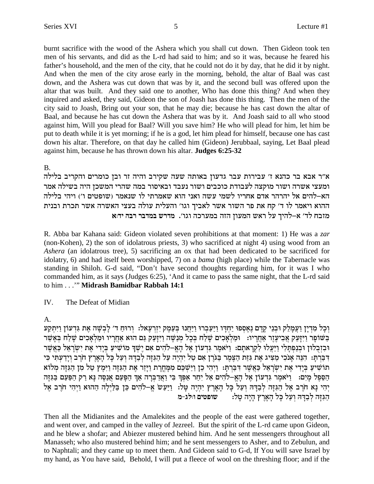burnt sacrifice with the wood of the Ashera which you shall cut down. Then Gideon took ten men of his servants, and did as the L-rd had said to him; and so it was, because he feared his father's household, and the men of the city, that he could not do it by day, that he did it by night. And when the men of the city arose early in the morning, behold, the altar of Baal was cast down, and the Ashera was cut down that was by it, and the second bull was offered upon the altar that was built. And they said one to another, Who has done this thing? And when they inquired and asked, they said, Gideon the son of Joash has done this thing. Then the men of the city said to Joash, Bring out your son, that he may die; because he has cast down the altar of Baal, and because he has cut down the Ashera that was by it. And Joash said to all who stood against him, Will you plead for Baal? Will you save him? He who will plead for him, let him be put to death while it is yet morning; if he is a god, let him plead for himself, because one has cast down his altar. Therefore, on that day he called him (Gideon) Jerubbaal, saying, Let Baal plead against him, because he has thrown down his altar. Judges 6:25-32

**B.** 

א"ר אבא בר כהנא ז' עבירות עבר גדעון באותה שעה שקירב והיה זר ובן כומרים והקריב בלילה ומעצי אשרה ושור מוקצה לעבודת כוכבים ושור נעבד ובאיסור במה שהרי המשכן היה בשילה אמר הא–להים אל יהרהר אדם אחריו לשמי עשה ואני הוא שאמרתי לו שנאמר (שופטים ו') ויהי בלילה ההוא ויאמר לו ד׳ קח את פר השור אשר לאביך וגו׳ והעלית עולה בעצי האשרה אשר תכרת ובנית מזבח לד׳ א–להיך על ראש המעון הזה במערכה וגו׳. מדרש במדבר רבה יד:א

R. Abba bar Kahana said: Gideon violated seven prohibitions at that moment: 1) He was a zar (non-Kohen), 2) the son of idolatrous priests, 3) who sacrificed at night 4) using wood from an Ashera (an idolatrous tree), 5) sacrificing an ox that had been dedicated to be sacrificed for idolatry, 6) and had itself been worshipped, 7) on a *bama* (high place) while the Tabernacle was standing in Shiloh. G-d said, "Don't have second thoughts regarding him, for it was I who commanded him, as it says (Judges 6:25), 'And it came to pass the same night, that the L-rd said to him . . . " Midrash Bamidbar Rabbah 14:1

### IV. The Defeat of Midian

## $A_{\cdot}$

וְכָל מְדִיַן וַעֲמַלֵק וּבְנֵי קֵדֵם נֵאֲסְפוּ יַחְדָּו וַיַּעֲבְרוּ וַיַּחֲנוּ בִּעֶמֶק יִזְרִעָאל: וְרוּחַ ד׳ לַבְשָׁה אֶת גִּדְעוֹן וַיִּתְקַע ּבְשׁוֹפָר וַיִּזַעֲק אֲבִיעָזֶר אַחֲרִיו: וּמַלְאֲכִים שַׁלַח בְּכָל מְנַשֶּׁה וַיִּזַעֲק גַּם הוא אַחֲרַיו וּמַלְאַכִים שַׁלַח בְּאַשֶׁר וּבִזְבָלוּן וּבְנַפְתְּלִי וַיַּעֲלוּ לִקְרָאתָם: וַיֹּאמֶר גִּדְעוֹן אֶל הָאֶ–לֹהִים אִם יֵשְׁךָ מוֹשִׁיעַ בְּיַדִי אִת יִשְׂרָאֵל כַּאֲשֵׁר דְּבַרְתָּ: הִנֵּה אָנְכִי מַצִּיג אֵת גִּזַּת הַצֵּמֶר בַּגֹּרֶץ אִם טַל יִהְיֶה עַל הַגְּזָה לְבַדָּה וִעַל כָּל הָאָרֶץ חֹרֵב וְיָדַעְתִּי כִּי תוֹשִׁיעַ בְּיָדִי אֶת יְשְׂרָאֱל כַּאֲשֶׁר דְּבַּרְתָּ: וַיִּהִי כֵן וַיַּשְׁכֵּם מְמַּחֲרַת וַיַּזֵר אֶת הַגִּזָּה וַיִּמֵץ טַל מִן הַגְּזָה מְלוֹא הַסֶּפֶל מַיִם: יַיֹּאמֶר גִּדְעוֹן אֶל הָאֵ–לֹהִים אֶל יִחַר אַפְּךְ בִּי וַאֲדַבְּרָה אַךְ הַפָּעָם אֲנָסֶה נַא רַק הַפַּעַם בַּגְזָה יְהִי נָא חֹרֶב אֶל הַגִּזָה לְבַדָּהּ וְעַל כָּל הָאָרֶץ יִהְיֶה טָל: וַיַּעַשׁ אֵֶ–לֹהִים כֵּן בַּלַיְלָה הַהוּא וַיְהִי חֹרֶב אֶל הגזה לבדה ועל כל הארץ היה טל: שופטים ו:לג-מ

Then all the Midianites and the Amalekites and the people of the east were gathered together, and went over, and camped in the valley of Jezreel. But the spirit of the L-rd came upon Gideon, and he blew a shofar; and Abiezer mustered behind him. And he sent messengers throughout all Manasseh; who also mustered behind him; and he sent messengers to Asher, and to Zebulun, and to Naphtali; and they came up to meet them. And Gideon said to G-d, If You will save Israel by my hand, as You have said, Behold, I will put a fleece of wool on the threshing floor; and if the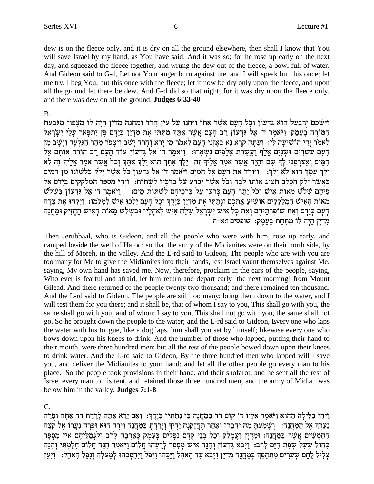dew is on the fleece only, and it is dry on all the ground elsewhere, then shall I know that You will save Israel by my hand, as You have said. And it was so; for he rose up early on the next day, and squeezed the fleece together, and wrung the dew out of the fleece, a bowl full of water. And Gideon said to G-d, Let not Your anger burn against me, and I will speak but this once; let me try, I beg You, but this once with the fleece; let it now be dry only upon the fleece, and upon all the ground let there be dew. And G-d did so that night; for it was dry upon the fleece only, and there was dew on all the ground. Judges 6:33-40

### **B.**

וַיַּשְׁכֵּם יִרְבַּעֲל הוּא גִדְעוֹן וְכָל הַעָם אֲשֶׁר אִתּוֹ וַיַּחֲנוּ עַל עֵין חֲרֹד וּמַחֲנֶה מְדִיַן הַיַה לוֹ מִצָּפוֹן מִגְּבִעַת הַמֹּוֹרֶה בַּעֲמֶק: וַיֹּאמֶר ד׳ אֶל גִּדְעוֹן רַב הָעָם אֲשֶׁר אָתַּךְ מִתְּתִי אֶת מִדְיַן בְּיַדָם פֵּן יִתְפָּאֵר עָלַי יִשְׂרָאֵל לֵאמֹר יַדִי הוֹשִׁיעַה לְי: וְעַתַּה קְרָא נָא בִּאָזְנֵי הַעָם לָאמֹר מִי יָרֵא וְחָרֶד יַשׁב וְיִצְפֹּר מֵהָר הַגִּלְעָד וַיַּשַׁב מִן העם עשרים ושנים אלף ועשרת אלפים נשארו: ויאמר ד׳ אל גדעון עוד העם רב הורד אותם אל הַמַּיִם וְאֵצְרְפֵנּוּ לְךָ שָׁם וְהַיָּה אֲשֶׁר אֹמַר אֲלֵיךְ זֶה | יָלֵךְ אִתַּךְ הוּא יָלֵךְ אִתַּךְ וְכֹל אֲשֶׁר אֹמַר אֲלֵיךְ זֶה לֹא יֵלֶךְ עַמֲךָ הוּא לֹא יַלֶךְ: [יִיּוֹרֵד אֶת הַעֲם אֵל הַמַּיִם וַיֹּאמֶר ד׳ אֵל גִדעוֹן כֹּל אֲשֶׁר יַלֹּק בִּלְשׁוֹנוֹ מַן הַמַּיִם כאשר ילק הכלב תציג אותו לבד וכל אשר יכרע על ברכיו לשתות: ויהי מספר המלקקים בידם אל פּיהֵם שַׁלֹשׁ מַאוֹת איש וכל יתר הַעַם כַּרְעוּ עַל בַּרְכֵיהֶם לְשִׁתּוֹת מַיִם: | וַיֹּאמֵר ד׳ אַל גִדְעוֹן בִּשְׁלֹש מאות האיש המלקקים אושיע אתכם ונתתי את מדין בידד וכל העם ילכו איש למקמו: ויקחו את צדה הַעָם בְּיַדַם וְאֶת שׁוֹפְרֹתֵיהֶם וְאֶת כָּל אִישׁ יִשְׂרָאֵל שָׁלַּח אִישׁ לְאֹהָלַיו וּבְשְׁלֹשׁ מֵאוֹת הָאִישׁ הֶחֱזִיק וּמַחֲנֵה מדין היה לו מתחת בעמק: שופטים ז:א-ח

Then Jerubbaal, who is Gideon, and all the people who were with him, rose up early, and camped beside the well of Harod; so that the army of the Midianites were on their north side, by the hill of Moreh, in the valley. And the L-rd said to Gideon, The people who are with you are too many for Me to give the Midianites into their hands, lest Israel vaunt themselves against Me, saying, My own hand has saved me. Now, therefore, proclaim in the ears of the people, saying, Who ever is fearful and afraid, let him return and depart early [the next morning] from Mount Gilead. And there returned of the people twenty two thousand; and there remained ten thousand. And the L-rd said to Gideon, The people are still too many; bring them down to the water, and I will test them for you there; and it shall be, that of whom I say to you, This shall go with you, the same shall go with you; and of whom I say to you, This shall not go with you, the same shall not go. So he brought down the people to the water; and the L-rd said to Gideon, Every one who laps the water with his tongue, like a dog laps, him shall you set by himself; likewise every one who bows down upon his knees to drink. And the number of those who lapped, putting their hand to their mouth, were three hundred men; but all the rest of the people bowed down upon their knees to drink water. And the L-rd said to Gideon, By the three hundred men who lapped will I save you, and deliver the Midianites to your hand; and let all the other people go every man to his place. So the people took provisions in their hand, and their shofarot; and he sent all the rest of Israel every man to his tent, and retained those three hundred men; and the army of Midian was below him in the valley. Judges 7:1-8

 $C_{\cdot}$ 

וַיִּהִי בַּלַיִּלָה הַהוּא וַיֹּאמֶר אֵלְיו ד׳ קוּם רֵד בַּמַּחֲנֶה כִּי נִתַתִּיו בִּיָדֶךָ: וְאִם יָרֵא אַתָּה לָרֶדֶת רֵד אַתָּה וּפָרָה נַעַרְךָ אֶל הַמַּחֲנֶה: וְשָׁמַעִּתְ מַה יְדַבֵּרוּ וְאַחַר תֶּחֱזַקְנָה יָדֶיךָ וְיָרַדְתָ בַּמַּחֲנֶה וַיֵּרֶד הוּא וּפְרָה נַעֲרוֹ אֶל קְצֵה הַחֲמָשִׁים אֲשֶׁר בַּמַּחֲנֶה: וּמִדְיָן וַעֲמָלֵק וְכָל בְּנֵי קֶדֶם נֹפְלִים בָּעֵמֶק כָּאַרְבֶּה לְרֹב וְלִגְמַלֵּיהֶם אֵין מִסְפָּר כַחוֹל שֶׁעֲל שִׂפַת הַיָּם לַרֹב: וַיַּבֹא גִדְעוֹן וְהִנֶּה אִישׁ מְסַפֵּר לְרֵעֶהוּ חֲלוֹם וַיֹּאמֶר הִנֵּה חֲלוֹם חַלַמְתִּי וְהִנֵּה צְלִיל לֵחֵם שִׂעֹרִים מִתְהַפֵּךְ בְּמַחֲנֵה מִדְיַן וַיָּבֹא עַד הַאֹהֶל וַיַּכְּרֹהוּ וַיִּפֹּל וַיַּהַפְּבֶהוּ לְמַעְלָה וְנָפַל הָאֹהֶל: 「וַיַּעַן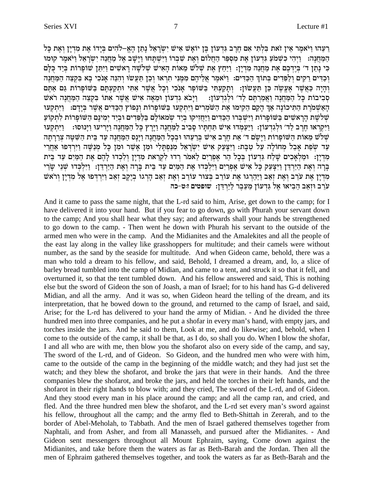רֵעֲהוּ וַיֹּאמֵר אֵין זֹאת בִּלְתִּי אִם חֶרֶב גִּדְעוֹן בֶּן יוֹאָשׁ אִישׁ יִשְׂרָאֵל נְתַן הָאֱ–לֹהִים בְּיָדוֹ אֶת מִדְיָן וְאֶת כָּל הַמַּחֲנֶה: וַיָּהִי כִשְׁמֹעֲ גִּדְעוֹן אֶת מְסִפָּר הַחֲלוֹם וָאֶת שִׁבְרוֹ וַיִּשְׁתַּחוּ וַיַּשַׁב אֵל מַחֲנֶה יְשַׂרַאֵל וַיֹּאמֵר קוּמוּ כִּי נָתַן ד׳ בְּיֶדְכֶם אֶת מַחֲנֵה מְדְיַן: וַיַּחַץ אֶת שְׁלֹשׁ מֵאוֹת הָאִישׁ שְׁלֹשָׁה רָאשִׁים וַיִּתֵּן שׁוֹפָרוֹת בְּיַד כִּלַּם וְכַדִּים רֵקִים וְלַפְּדִים בְּתוֹךְ הַכַּדִּים: וַיֹּאמֶר אֲלֵיהֶם מִמֶּנִּי תִרְאוּ וְכֵן תַּעֲשׂוּ וְהָנֵה אֲנֹכִי בָא בִּקְצֶה הַמַּחֲנֵה וְהָיָה כַּאֲשֶׁר אֶעֱשֶׂה כֵּן תַּעֲשׂוּן: וְתָקַעְתִּי בַּשּׁוֹפָר אָנֹכִי וְכָל אֲשֶׁר אִתִּי וּתִקַעְתֶּם בַּשּׁוֹפָרוֹת גַּם אַתֵּם סְבִיבוֹת כַּל הַמַּחֲנֶה וַאֲמַרְתֵּם לַד׳ וּלְגִדְעוֹן: - וַיַּבֹא גִדְעוֹן וּמֵאֲה אִישׁ אֲשֶׁר אִתּוֹ בִּקְצֶה הַמַּחֲנֵה רֹאשׁ הַאַשְׁמֹרֵת הַתִּיכוֹנָה אַךְ הָקֵם הֵקִימוּ אֶת הַשֹּׁמְרִים וַיִּתְקִעוּ בַּשּׁוֹפַרוֹת ונַפוֹץ הַכַּדִּים אַשֶׁר בַּיַדַם: 「ויתקעו שְׁלְשֵׁת הַרֵאשִׁים בַּשּׁוֹפַרוֹת וַיִּשְׁבְּרוּ הַכַּדִּים וַיַּחֲזִיקוּ בְיַד שָׂמֹאוֹלַם בַּלַּפְדִים וּבְיַד יִמְינַם הַשּׁוֹפַרוֹת לְתִקוֹעַ וַיִּקְרָאוּ חֶרֶב לַד׳ וּלְגִדְעוֹן: וַיַּעֲמִדוּ אִישׁ תַּחְתַיו סָבְיב לַמַּחֲנֶה וַיָּרֵץ כָּל הַמַּחֲנָה וַיַּרִיעוּ וַיָּנוּסוּ: וַיִּתִקְעוּ שְלֹש מָאוֹת הַשׁוֹפְרוֹת וַיַּשֵׂם ד׳ אֶת חֶרֶב אִישׁ בְּרֶעֶהוּ וּבְכָל הַמַּחֲנָה וַיַּנַס הַמַּחֲנָה עַד בֵּית הַשִּׁטַּה צְרֵרְתַה עד שפת אבל מחולה על טבת: ויצעק איש ישראל מנפתלי ומן אשר ומן כל מנשה וירדפו אחרי מִדְיַן: וּמַלְאַכִים שַׁלַח גִּדְעוֹן בִּכָל הַר אִפְרִים לָאמֹר רִדוּ לִקְרָאת מִדְיַן וִלְכְדוּ לַהֶם אֶת הַמַּיִם עַד בֵּית .<br>בְּרָה וְאֶת הַיַּרְדֵן וַיִּצְעֵק כָּל אִישׁ אֶפְרַיִם וַיִּלְכְדוּ אֶת הַמַּיִם עַד בֵּית בְּרָה וְאֶת הַיַּרְדֵן: וַיִּלְכְדוּ שְׁנֵי שָׂרֵי מְרָיַן אֶת ערָב וְאֶת זְאָב וַיַּהַרְגוּ אֶת עוֹרֶב בְּצוּר עוֹרֶב וְאֶת זְאָב הָרְגוּ בְיֵקֶב זְאָב וַיִּרְדְפוּ אֶל מְדְיָן וְרֹאשׁ ערֲב וּזְאֲב הֱבִיאוּ אֱל גִּדְעוֹן מֱעֶבֶר לַיַּרְדֶן: שופּטים זוּט-כה

And it came to pass the same night, that the L-rd said to him, Arise, get down to the camp; for I have delivered it into your hand. But if you fear to go down, go with Phurah your servant down to the camp; And you shall hear what they say; and afterwards shall your hands be strengthened to go down to the camp. - Then went he down with Phurah his servant to the outside of the armed men who were in the camp. And the Midianites and the Amalekites and all the people of the east lay along in the valley like grasshoppers for multitude; and their camels were without number, as the sand by the seaside for multitude. And when Gideon came, behold, there was a man who told a dream to his fellow, and said, Behold, I dreamed a dream, and, lo, a slice of barley bread tumbled into the camp of Midian, and came to a tent, and struck it so that it fell, and overturned it, so that the tent tumbled down. And his fellow answered and said, This is nothing else but the sword of Gideon the son of Joash, a man of Israel; for to his hand has G-d delivered Midian, and all the army. And it was so, when Gideon heard the telling of the dream, and its interpretation, that he bowed down to the ground, and returned to the camp of Israel, and said, Arise; for the L-rd has delivered to your hand the army of Midian. - And he divided the three hundred men into three companies, and he put a shofar in every man's hand, with empty jars, and torches inside the jars. And he said to them, Look at me, and do likewise; and, behold, when I come to the outside of the camp, it shall be that, as I do, so shall you do. When I blow the shofar, I and all who are with me, then blow you the shofarot also on every side of the camp, and say, The sword of the L-rd, and of Gideon. So Gideon, and the hundred men who were with him, came to the outside of the camp in the beginning of the middle watch; and they had just set the watch; and they blew the shofarot, and broke the jars that were in their hands. And the three companies blew the shofarot, and broke the jars, and held the torches in their left hands, and the shofarot in their right hands to blow with; and they cried, The sword of the L-rd, and of Gideon. And they stood every man in his place around the camp; and all the camp ran, and cried, and fled. And the three hundred men blew the shofarot, and the L-rd set every man's sword against his fellow, throughout all the camp; and the army fled to Beth-Shittah in Zererah, and to the border of Abel-Meholah, to Tabbath. And the men of Israel gathered themselves together from Naphtali, and from Asher, and from all Manasseh, and pursued after the Midianites. - And Gideon sent messengers throughout all Mount Ephraim, saying, Come down against the Midianites, and take before them the waters as far as Beth-Barah and the Jordan. Then all the men of Ephraim gathered themselves together, and took the waters as far as Beth-Barah and the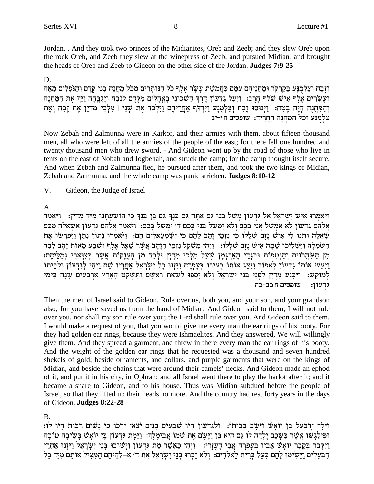Jordan. . And they took two princes of the Midianites, Oreb and Zeeb; and they slew Oreb upon the rock Oreb, and Zeeb they slew at the winepress of Zeeb, and pursued Midian, and brought the heads of Oreb and Zeeb to Gideon on the other side of the Jordan. Judges 7:9-25

### D.

וזֶבַח וַצַלְמִנַּע בַּקֵּרִקֹר וּמַחֲנִיהֶם עַמֵּם כַּחֲמֶשֶׁת עַשַׂר אֶלֶף כֹּל הַנּוֹתַרִים מִכֹּל מַחֲנֶה בְנֵי קָדֶם וְהַנֹּפְלִים מֶאֲה וְעָשְׂרִים אֱלֵף אִישׁ שֹׁלֵף חַרֵב: וַיַּעֲל גִּדְעוֹן דֵרֵךְ הַשָּׁכוּנֵי בָאֲהָלִים מְקֵדֵם לְנֹבָח וְיַגִּבֵּהָה וַיַּךְ אֶת הַמַּחֲנָה וְהַמַּחֲנֶה הָיָה בָטַח: וַיָּנוּסוּ זֶבַח וְצַלְמֻנָּע וַיִּרְדֹף אַחֲרֵיהֶם וַיִּלְכֹּד אֶת שְׁנֵי | מַלְכֵי מִדְיָן אֶת זֶבַח וְאֶת צלמנע וכל המחנה החריד: שופטים ח:י-יב

Now Zebah and Zalmunna were in Karkor, and their armies with them, about fifteen thousand men, all who were left of all the armies of the people of the east; for there fell one hundred and twenty thousand men who drew sword. - And Gideon went up by the road of those who live in tents on the east of Nobah and Jogbehah, and struck the camp; for the camp thought itself secure. And when Zebah and Zalmunna fled, he pursued after them, and took the two kings of Midian, Zebah and Zalmunna, and the whole camp was panic stricken. **Judges 8:10-12** 

 $V_{\cdot}$ Gideon, the Judge of Israel

### $\mathsf{A}$ .

וַיֹּאמְרוּ אֵישׁ יִשְׂרַאֵל אֵל גִּדְעוֹן מִשָּׁל בַּנוּ גַּם אַתָּה גַּם בִּנְךְ גַּם בֵּן בִּנֵךְ כִּי הוֹשַׁעִתָּנוּ מִיַּד מִדְיָן: [יֹּאמֵר אֱלֶהֶם גִּדְעוֹן לֹא אֶמְשֹׁל אֲנִי בַּכֶם וְלֹא יְמִשׁל בְּנִי בַּכֶם ד׳ יְמִשׁל בַּכֶם: וַיֹּאמֶר אֲלֶהֶם גִּדְעוֹן אֲשָׁאֲלָה מְכֶם שאלה ותנו לי איש נזם שללו כי נזמי זהב להם כי ישמעאלים הם: ויאמרו נתון נתן ויפרשו את הַשַּׂמְלָה וַיַּשְׁלִיכוּ שַׁמַּה אִישׁ נֵזֵם שַׁלְלוֹ: - וַיְהִי מִשְׁקַל נִזְמֵי הַזָּהֵב אֲשֶׁר שַׁאֲל אֶלֶף וּשָׁבַע מֵאוֹת זַהָב לְבַד מן הַשַּׂהֲרֹנִים וַהַנִּטְפוֹת וּבְגְדֵי הַאֲרִגְּמַן שֵׁעֲל מַלְכֵי מִדְיַן וּלְבָד מִן הַעֲנָקוֹת אֲשֶׁר בִּצְוָארֵי גִמַלֵּיהֵם: וַיַּעֲשׂ אוֹתוֹ גִדְעוֹן לְאֵפוֹד וַיַּצֵּג אוֹתוֹ בִעִירוֹ בִּעֲפְרָה וַיִּזְנוּ כָל יְשָׂרַאֵל אַחֲרִיו שֵׁם וַיָּהִי לְגִדְעוֹן וּלְבִיתוֹ לְמוֹקֵשׁ: וַיִּכְּנַע מִדְיַן לִפְנֵי יִשְׂרָאֵל וְלֹא יַסְפוּ לַשָׂאת רֹאשָׁם וַתְּשָׁקֹט הָאָרִץ אַרְבַּעִים שַׁנָה בִּימֵי שופטים ח:כב-כח גִדִעוֹן:

Then the men of Israel said to Gideon, Rule over us, both you, and your son, and your grandson also; for you have saved us from the hand of Midian. And Gideon said to them, I will not rule over you, nor shall my son rule over you; the L-rd shall rule over you. And Gideon said to them, I would make a request of you, that you would give me every man the ear rings of his booty. For they had golden ear rings, because they were Ishmaelites. And they answered, We will willingly give them. And they spread a garment, and threw in there every man the ear rings of his booty. And the weight of the golden ear rings that he requested was a thousand and seven hundred shekels of gold; beside ornaments, and collars, and purple garments that were on the kings of Midian, and beside the chains that were around their camels' necks. And Gideon made an ephod of it, and put it in his city, in Ophrah; and all Israel went there to play the harlot after it; and it became a snare to Gideon, and to his house. Thus was Midian subdued before the people of Israel, so that they lifted up their heads no more. And the country had rest forty years in the days of Gideon. Judges 8:22-28

### **B.**

וַיֵּלֶךְ יִרְבַּעַל בֵּן יוֹאָשׁ וַיֵּשֵׁב בְּבֵיתוֹ: וּלְגִדְעוֹן הָיוּ שִׁבְעִים בָּנִים יֹצְאֵי יְרֵכוֹ כִּי נָשִׁים רַבּוֹת הָיוּ לוֹ: וּפִילַגְשׁוֹ אֲשֶׁר בִּשְׁכֶם יָלְדָה לּוֹ גַם הִיא בֵּן וַיָּשֶׂם אֶת שִׁמוֹ אֲבִימֶלֶךְ: וַיָּמָת גִּדְעוֹן בֶּן יוֹאָשׁ בִּשֵׂיבָה טוֹבָה וַיִּקְּבֵר בִּקְבֵר יוֹאָשׁ אָבְיו בְּעַפְרָה אֲבִי הָעֲזְרִי: - וַיְהִי כַּאֲשֶׁר מֵת גִּדְעוֹן וַיַּשׁוּבוּ בְּנֵי יִשְׂרָאֵל וַיִּזְנוּ אַחֲרֵי הַבְּעֲלִים וַיַּשִׂימוּ לָהֶם בַּעַל בִּרִית לֵאלהִים: וְלֹא זָכְרוּ בְּנֵי יִשְׂרָאֵל אֶת ד׳ אֵ–להֵיהֶם הַמַּצִיל אותַם מִיַּד כָּל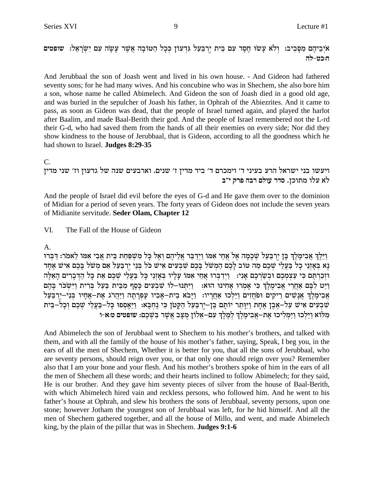אֹיְבֵיהֶם מִסָּבִיב: וְלֹא עָשׂוּ חֶסֶד עִם בֵּית יְרָבַּעַל גִּדְעוֹן כִּכָל הַטּוֹבָה אֲשֶׁר עָשָׂה עִם יִשְׂרָאֵל: שופטים ח:כט-לה

And Jerubbaal the son of Joash went and lived in his own house. - And Gideon had fathered seventy sons; for he had many wives. And his concubine who was in Shechem, she also bore him a son, whose name he called Abimelech. And Gideon the son of Joash died in a good old age, and was buried in the sepulcher of Joash his father, in Ophrah of the Abiezrites. And it came to pass, as soon as Gideon was dead, that the people of Israel turned again, and played the harlot after Baalim, and made Baal-Berith their god. And the people of Israel remembered not the L-rd their G-d, who had saved them from the hands of all their enemies on every side; Nor did they show kindness to the house of Jerubbaal, that is Gideon, according to all the goodness which he had shown to Israel. Judges 8:29-35

 $\mathcal{C}$ .

ויעשו בני ישראל הרע בעיני ד' וימכרם ד' ביד מדין ז' שנים. וארבעים שנה של גדעון וז' שני מדין לא עלו מתוכן. סדר עולם רבה פרק י״ב

And the people of Israel did evil before the eyes of G-d and He gave them over to the dominion of Midian for a period of seven years. The forty years of Gideon does not include the seven years of Midianite servitude. Seder Olam, Chapter 12

VI. The Fall of the House of Gideon

A.

וַיֵּלֵךְ אֲבִימֵלֵךְ בֵּן יִרְבַעֲל שָׁבֶמָה אֵל אֲחֵי אִמּוֹ וַיִדַבֵּר אֲלֵיהֶם וָאֵל כָּל מְשִׁפַּחַת בֵּית אֲבִי אִמּוֹ לֵאמֹר: דַּבְּרוּ נְא בְּאָזְנֵי כְל בַּעֲלֵי שְׁכֶם מַה טוֹב לְכֶם הַמְשֹׁל בָּכֶם שִׁבְעִים אִישׁ כֹּל בִּנֵי יִרְבַעַל אִם מִשׂל בָּכֵם אִישׁ אִחָד וּזְכַרְתֵּם כִּי עַצְמְכֵם וּבְשַׂרְכֶם אֲנִי: - וַיִּדַבְרוּ אֶחֶי אִמּוֹ עַלַיו בְּאָזְנֵי כָּל בַעֲלֵי שָׁכֶם אֶת כָּל הַדִּבְרִים הָאֶלֶה וַיֵּט לְבָם אַחֲרֵי אֲבִימֶלֶךְ כִּי אָמְרוּ אָחִינוּ הוּא: וַיִּתְּנוּ–לוֹ שִׁבְעִים כֶּסֶף מִבֵּית בַּעַל בִּרִית וַיִּשְׂכֹּר בָּהֶם אֲבִימֵלֶךְ אֲנָשִׁים רֵיקִים וּפֹחֲזִים וַיֵּלְכוּ אַחֲרֵיו: וַיָּבֹא בֵית-אָבִיו עָפְרָתָה וַיַּהֲרֹג אֶת-אֶחָיו בִּנֵי-יִרְבַּעֲל שְׁבִעִים אִישׁ עַל–אֶבֶן אֶחָת וַיִּוַּתֵר יוֹתַם בֵּן–יִרְבַּעַל הַקְּטֹן כִּי נֵחְבָא: וַיֵּאֲסְפוּ כָּל–בַעֲלֵי שִׁכֵם וְכָל–בֵּית מְלוֹא וַיֵּלְכוּ וַיַּמְלִיכוּ אֶת–אֲבִימֶלֶךְ לְמֶלֶךְ עָם–אֵלוֹן מִצַּב אֲשֶׁר בִּשְׁכֵם: שופטים ט:א-ו

And Abimelech the son of Jerubbaal went to Shechem to his mother's brothers, and talked with them, and with all the family of the house of his mother's father, saying, Speak, I beg you, in the ears of all the men of Shechem, Whether it is better for you, that all the sons of Jerubbaal, who are seventy persons, should reign over you, or that only one should reign over you? Remember also that I am your bone and your flesh. And his mother's brothers spoke of him in the ears of all the men of Shechem all these words; and their hearts inclined to follow Abimelech; for they said, He is our brother. And they gave him seventy pieces of silver from the house of Baal-Berith, with which Abimelech hired vain and reckless persons, who followed him. And he went to his father's house at Ophrah, and slew his brothers the sons of Jerubbaal, seventy persons, upon one stone; however Jotham the youngest son of Jerubbaal was left, for he hid himself. And all the men of Shechem gathered together, and all the house of Millo, and went, and made Abimelech king, by the plain of the pillar that was in Shechem. **Judges 9:1-6**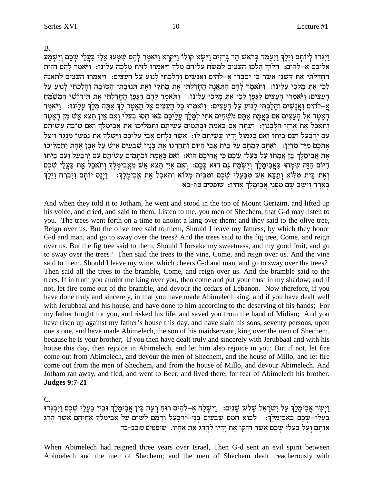$B<sub>1</sub>$ 

וַיַּגְדוּ לִיוֹתַם וַיֵּלֵךְ וַיַּעֲמֹד בִּרֹאשׁ הַר גִּרְזִים וַיִּשָּׂא קוֹלוֹ וַיִּקְרָא וַיֹּאמֵר לַהֵם שִׁמְעוּ אֶלַי בַּעֲלֵי שֶׁכֶם וְיִשְׁמַע אליכם א–להים: הלוד הלכו העצים למשח עליהם מלך ויאמרו לזית מלכה עלינו: ויאמר להם הזית הֵחֲדַלְתִּי אֶת דִּשְׁנִי אֲשֶׁר בִּי יִכַבְּדוּ אֵ–לֹהִים וַאֲנָשִׁים וְהָלַכְתִּי לַנוּעַ עַל הַעֲצִים: וַיֹּאמְרוּ הַעֲצִים לַתְּאֵנָה לְכִי אַתְּ מַלְכִי עַלֵינוּ: וַתֹּאמֶר לַהֵם הַתְּאֶנָה הֵחֲדַלְתִּי אֶת מַתְקִי וְאֶת תְּנוּבָתִי הַטּוֹבָה וְהָלַכְתִּי לַנוּעַ עַל הַעֲצִים: וַיֹּאמְרוּ הָעֲצִים לַגָּפֵן לְכִי אַתְּ מָלְכִי עָלֵינוּ: וַתֹּאמֶר לָהֶם הַגֶּפֶן הֶחֲדַלְתִּי אֶת תִּירוֹשִׁי הַמְשַֹּמֵהַ אַ-לֹהִים וַאֲנָשִׁים וְהָלַכְתִּי לְנוּעַ עַל הָעֵצִים: וַיֹּאמְרוּ כָל הָעֵצִים אֶל הָאָטָד לֵךְ אַתָּה מִלְךְ עָלֵינוּ: נַיֹּאמֶר הָאָטָד אֵל הָעֲצִים אִם בֵּאֲמֶת אַתֵּם מֹשִׁחִים אֹתִי לְמֵלֵךְ עֲלֵיכֵם בֹּאוּ חֲסוּ בִצְלִי וְאִם אַיִן תֵּצֵא אֵשׁ מִן הָאָטָד וְתֹאכֵל אֶת אַרְזֵי הַלְּבַנוֹן: וַעֲתַּה אִם בֵּאֱמֶת וּבְתַמִים עֲשִׂיתֵם וַתַּמְלִיכוּ אֶת אֲבִימֶלֶךְ וְאִם טוֹבָה עֲשִׂיתֵם עם ירִבְּעַל וְעָם בֵּיתוֹ וְאִם כִּגְמוּל יַדֵיו עֲשִׂיתֵם לוֹ: אֲשֶׁר נִלְחָם אֲבִי עֲלֵיכֶם וַיַּשְׁלֶךְ אֶת נַפְשׁוֹ מִנְּגֵד וַיַּצֵּל אֶתְכֶם מִיַּד מִדְיַן: וְאַתֵּם קַמִתֶּם עַל בֵּית אָבִי הַיּוֹם וַתַּהַרְגוּ אֶת בַּנֵיו שַׁבְעִים אִישׁ עַל אָבֶן אֶחָת וַתַּמִלִיכוּ את אבימלך בן אמתו על בעלי שכם כי אחיכם הוא: ואם באמת ובתמים עשיתם עם ירבעל ועם ביתו היום הזה שמחו באבימלך וישמח גם הוא בכם: ואם אין תצא אש מאבימלך ותאכל את בעלי שכם ואת בית מלוא ותצא אש מבעלי שכם ומבית מלוא ותאכל את אבימלך: נינס יותם ויברח וילך בארה וַיַּשֵׁב שֵׁם מִפְּנֵי אֲבִימֶלֶךְ אֲחָיו: שופטים טוּז-כא

And when they told it to Jotham, he went and stood in the top of Mount Gerizim, and lifted up his voice, and cried, and said to them, Listen to me, you men of Shechem, that G-d may listen to you. The trees went forth on a time to anoint a king over them; and they said to the olive tree, Reign over us. But the olive tree said to them, Should I leave my fatness, by which they honor G-d and man, and go to sway over the trees? And the trees said to the fig tree, Come, and reign over us. But the fig tree said to them, Should I forsake my sweetness, and my good fruit, and go to sway over the trees? Then said the trees to the vine, Come, and reign over us. And the vine said to them, Should I leave my wine, which cheers G-d and man, and go to sway over the trees? Then said all the trees to the bramble, Come, and reign over us. And the bramble said to the trees. If in truth you anoint me king over you, then come and put your trust in my shadow; and if not, let fire come out of the bramble, and devour the cedars of Lebanon. Now therefore, if you have done truly and sincerely, in that you have made Abimelech king, and if you have dealt well with Jerubbaal and his house, and have done to him according to the deserving of his hands; For my father fought for you, and risked his life, and saved you from the hand of Midian; And you have risen up against my father's house this day, and have slain his sons, seventy persons, upon one stone, and have made Abimelech, the son of his maidservant, king over the men of Shechem, because he is your brother; If you then have dealt truly and sincerely with Jerubbaal and with his house this day, then rejoice in Abimelech, and let him also rejoice in you; But if not, let fire come out from Abimelech, and devour the men of Shechem, and the house of Millo; and let fire come out from the men of Shechem, and from the house of Millo, and devour Abimelech. And Jotham ran away, and fled, and went to Beer, and lived there, for fear of Abimelech his brother. **Judges 9:7-21** 

 $C_{\cdot}$ 

וַיָּשַׂר אֲבִימֵלֵךְ עַל יִשְׂרָאֵל שָׁלֹשׁ שָׁנִים: וַיִּשְׁלַח אֵ–לֹהִים רוּחַ רָעָה בֵּין אֲבִימֵלֵךְ וּבֵין בַּעֲלֵי שָׁבֵם וַיִּבְגִּדוּ בַעֲלֵי–שִׁכֶם בַּאֲבִימֶלֶךְ: לָבוֹא חֲמַס שִׁבְעִים בְּנֵי–יְרְבְּעַל וְדָמָם לָשוּם עַל אֲבִימֶלֶךְ אֲחִיהֶם אֲשֶׁר הָרַג אוֹתַם וְעַל בַּעֲלֵי שִׁבֶם אֲשֶׁר חִזִּקוּ אֶת יַדֵיו לַהֲרֹג אֶת אֲחָיו. שופטים טוכב-כד

When Abimelech had reigned three years over Israel, Then G-d sent an evil spirit between Abimelech and the men of Shechem; and the men of Shechem dealt treacherously with